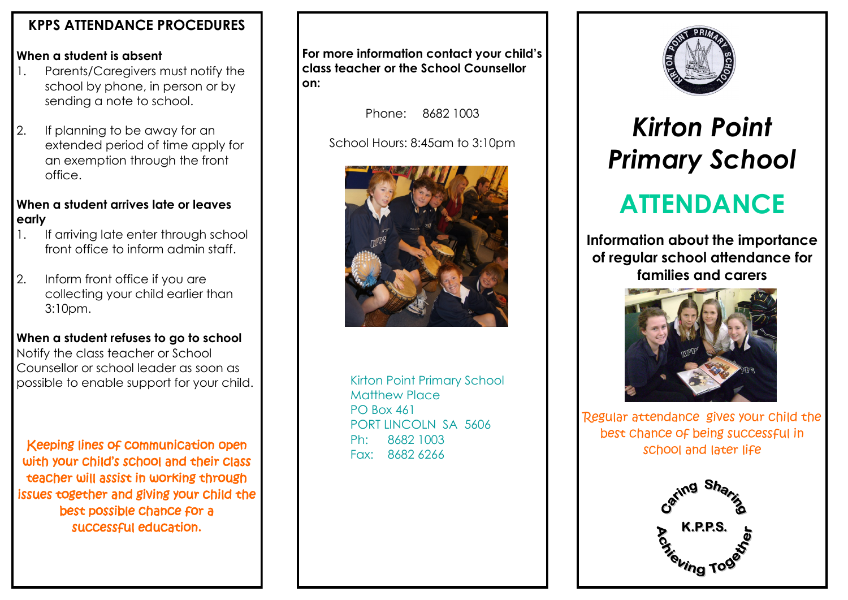## **KPPS ATTENDANCE PROCEDURES**

### **When a student is absent**

- 1. Parents/Caregivers must notify the school by phone, in person or by sending a note to school.
- 2. If planning to be away for an extended period of time apply for an exemption through the front office.

### **When a student arrives late or leaves early**

- 1. If arriving late enter through school front office to inform admin staff.
- 2. Inform front office if you are collecting your child earlier than 3:10pm.

### **When a student refuses to go to school**

Notify the class teacher or School Counsellor or school leader as soon as possible to enable support for your child.

Keeping lines of communication open with your child's school and their class teacher will assist in working through issues together and giving your child the best possible chance for a successful education.

**For more information contact your child's class teacher or the School Counsellor on:**

Phone: 8682 1003

School Hours: 8:45am to 3:10pm



Kirton Point Primary School Matthew Place PO Box 461 PORT LINCOLN SA 5606 Ph: 8682 1003 Fax: 8682 6266



## *Kirton Point Primary School*

# **ATTENDANCE**

**Information about the importance of regular school attendance for families and carers**



Regular attendance gives your child the best chance of being successful in school and later life